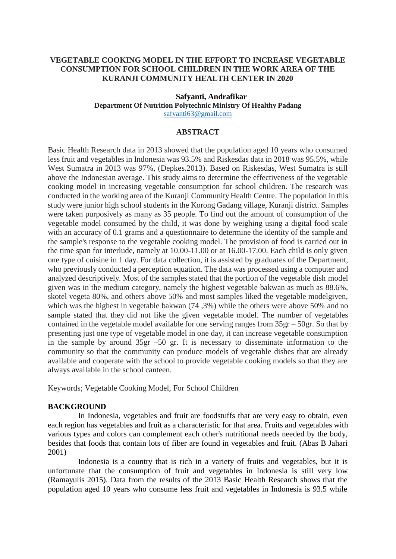# **VEGETABLE COOKING MODEL IN THE EFFORT TO INCREASE VEGETABLE CONSUMPTION FOR SCHOOL CHILDREN IN THE WORK AREA OF THE KURANJI COMMUNITY HEALTH CENTER IN 2020**

#### **Safyanti, Andrafikar Department Of Nutrition Polytechnic Ministry Of Healthy Padang** [safyanti63@gmail.com](mailto:safyanti63@gmail.com)

# **ABSTRACT**

Basic Health Research data in 2013 showed that the population aged 10 years who consumed less fruit and vegetables in Indonesia was 93.5% and Riskesdas data in 2018 was 95.5%, while West Sumatra in 2013 was 97%, (Depkes.2013). Based on Riskesdas, West Sumatra is still above the Indonesian average. This study aims to determine the effectiveness of the vegetable cooking model in increasing vegetable consumption for school children. The research was conducted in the working area of the Kuranji Community Health Centre. The population in this study were junior high school students in the Korong Gadang village, Kuranji district. Samples were taken purposively as many as 35 people. To find out the amount of consumption of the vegetable model consumed by the child, it was done by weighing using a digital food scale with an accuracy of 0.1 grams and a questionnaire to determine the identity of the sample and the sample's response to the vegetable cooking model. The provision of food is carried out in the time span for interlude, namely at 10.00-11.00 or at 16.00-17.00. Each child is only given one type of cuisine in 1 day. For data collection, it is assisted by graduates of the Department, who previously conducted a perception equation. The data was processed using a computer and analyzed descriptively. Most of the samples stated that the portion of the vegetable dish model given was in the medium category, namely the highest vegetable bakwan as much as 88.6%, skotel vegeta 80%, and others above 50% and most samples liked the vegetable modelgiven, which was the highest in vegetable bakwan  $(74,3%)$  while the others were above 50% and no sample stated that they did not like the given vegetable model. The number of vegetables contained in the vegetable model available for one serving ranges from 35gr – 50gr. So that by presenting just one type of vegetable model in one day, it can increase vegetable consumption in the sample by around 35gr –50 gr. It is necessary to disseminate information to the community so that the community can produce models of vegetable dishes that are already available and cooperate with the school to provide vegetable cooking models so that they are always available in the school canteen.

Keywords; Vegetable Cooking Model, For School Children

## **BACKGROUND**

In Indonesia, vegetables and fruit are foodstuffs that are very easy to obtain, even each region has vegetables and fruit as a characteristic for that area. Fruits and vegetables with various types and colors can complement each other's nutritional needs needed by the body, besides that foods that contain lots of fiber are found in vegetables and fruit. (Abas B Jahari 2001)

Indonesia is a country that is rich in a variety of fruits and vegetables, but it is unfortunate that the consumption of fruit and vegetables in Indonesia is still very low (Ramayulis 2015). Data from the results of the 2013 Basic Health Research shows that the population aged 10 years who consume less fruit and vegetables in Indonesia is 93.5 while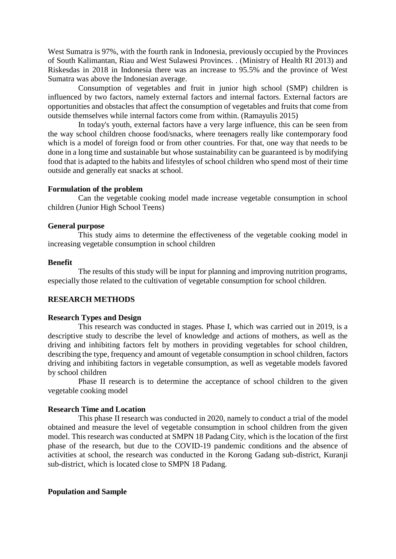West Sumatra is 97%, with the fourth rank in Indonesia, previously occupied by the Provinces of South Kalimantan, Riau and West Sulawesi Provinces. . (Ministry of Health RI 2013) and Riskesdas in 2018 in Indonesia there was an increase to 95.5% and the province of West Sumatra was above the Indonesian average.

Consumption of vegetables and fruit in junior high school (SMP) children is influenced by two factors, namely external factors and internal factors. External factors are opportunities and obstacles that affect the consumption of vegetables and fruits that come from outside themselves while internal factors come from within. (Ramayulis 2015)

In today's youth, external factors have a very large influence, this can be seen from the way school children choose food/snacks, where teenagers really like contemporary food which is a model of foreign food or from other countries. For that, one way that needs to be done in a long time and sustainable but whose sustainability can be guaranteed is by modifying food that is adapted to the habits and lifestyles of school children who spend most of their time outside and generally eat snacks at school.

#### **Formulation of the problem**

Can the vegetable cooking model made increase vegetable consumption in school children (Junior High School Teens)

#### **General purpose**

This study aims to determine the effectiveness of the vegetable cooking model in increasing vegetable consumption in school children

#### **Benefit**

The results of this study will be input for planning and improving nutrition programs, especially those related to the cultivation of vegetable consumption for school children.

### **RESEARCH METHODS**

# **Research Types and Design**

This research was conducted in stages. Phase I, which was carried out in 2019, is a descriptive study to describe the level of knowledge and actions of mothers, as well as the driving and inhibiting factors felt by mothers in providing vegetables for school children, describing the type, frequency and amount of vegetable consumption in school children, factors driving and inhibiting factors in vegetable consumption, as well as vegetable models favored by school children

Phase II research is to determine the acceptance of school children to the given vegetable cooking model

#### **Research Time and Location**

This phase II research was conducted in 2020, namely to conduct a trial of the model obtained and measure the level of vegetable consumption in school children from the given model. This research was conducted at SMPN 18 Padang City, which is the location of the first phase of the research, but due to the COVID-19 pandemic conditions and the absence of activities at school, the research was conducted in the Korong Gadang sub-district, Kuranji sub-district, which is located close to SMPN 18 Padang.

#### **Population and Sample**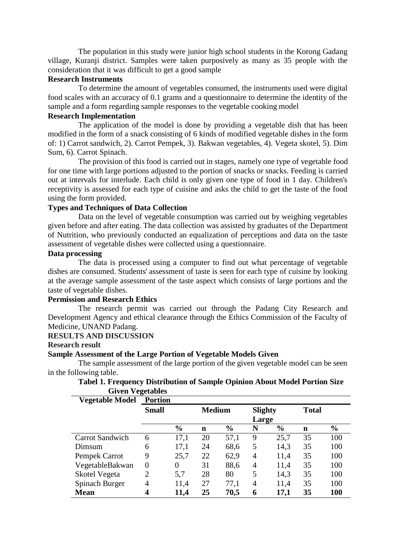The population in this study were junior high school students in the Korong Gadang village, Kuranji district. Samples were taken purposively as many as 35 people with the consideration that it was difficult to get a good sample

#### **Research Instruments**

To determine the amount of vegetables consumed, the instruments used were digital food scales with an accuracy of 0.1 grams and a questionnaire to determine the identity of the sample and a form regarding sample responses to the vegetable cooking model

# **Research Implementation**

The application of the model is done by providing a vegetable dish that has been modified in the form of a snack consisting of 6 kinds of modified vegetable dishes in the form of: 1) Carrot sandwich, 2). Carrot Pempek, 3). Bakwan vegetables, 4). Vegeta skotel, 5). Dim Sum, 6). Carrot Spinach.

The provision of this food is carried out in stages, namely one type of vegetable food for one time with large portions adjusted to the portion of snacks or snacks. Feeding is carried out at intervals for interlude. Each child is only given one type of food in 1 day. Children's receptivity is assessed for each type of cuisine and asks the child to get the taste of the food using the form provided.

# **Types and Techniques of Data Collection**

Data on the level of vegetable consumption was carried out by weighing vegetables given before and after eating. The data collection was assisted by graduates of the Department of Nutrition, who previously conducted an equalization of perceptions and data on the taste assessment of vegetable dishes were collected using a questionnaire.

# **Data processing**

The data is processed using a computer to find out what percentage of vegetable dishes are consumed. Students' assessment of taste is seen for each type of cuisine by looking at the average sample assessment of the taste aspect which consists of large portions and the taste of vegetable dishes.

### **Permission and Research Ethics**

The research permit was carried out through the Padang City Research and Development Agency and ethical clearance through the Ethics Commission of the Faculty of Medicine, UNAND Padang.

## **RESULTS AND DISCUSSION**

#### **Research result**

## **Sample Assessment of the Large Portion of Vegetable Models Given**

The sample assessment of the large portion of the given vegetable model can be seen in the following table.

## **Tabel 1. Frequency Distribution of Sample Opinion About Model Portion Size Given Vegetables**

| <b>Vegetable Model</b> | <b>Portion</b> |               |             |                |   |               |    |               |
|------------------------|----------------|---------------|-------------|----------------|---|---------------|----|---------------|
|                        | <b>Small</b>   | <b>Medium</b> |             | <b>Slighty</b> |   | <b>Total</b>  |    |               |
|                        |                |               |             | Large          |   |               |    |               |
|                        |                | $\frac{6}{6}$ | $\mathbf n$ | $\frac{6}{6}$  | N | $\frac{6}{6}$ | n  | $\frac{6}{6}$ |
| <b>Carrot Sandwich</b> | 6              | 17,1          | 20          | 57,1           | 9 | 25,7          | 35 | 100           |
| Dimsum                 | 6              | 17,1          | 24          | 68,6           | 5 | 14,3          | 35 | 100           |
| Pempek Carrot          | 9              | 25,7          | 22          | 62,9           | 4 | 11,4          | 35 | 100           |
| VegetableBakwan        | 0              | 0             | 31          | 88,6           | 4 | 11,4          | 35 | 100           |
| Skotel Vegeta          | $\overline{2}$ | 5,7           | 28          | 80             | 5 | 14,3          | 35 | 100           |
| Spinach Burger         | 4              | 11,4          | 27          | 77,1           | 4 | 11,4          | 35 | 100           |
| <b>Mean</b>            | 4              | 11,4          | 25          | 70,5           | 6 | 17,1          | 35 | <b>100</b>    |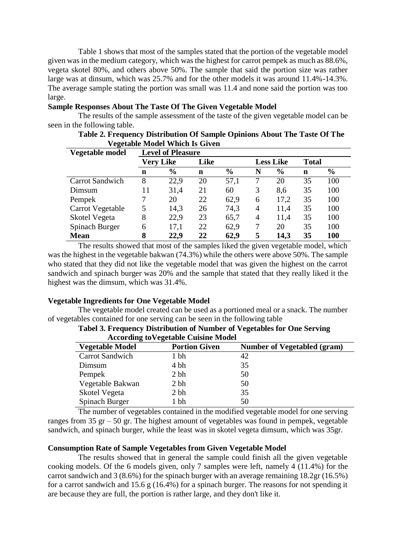Table 1 shows that most of the samples stated that the portion of the vegetable model given was in the medium category, which was the highest for carrot pempek as much as 88.6%, vegeta skotel 80%, and others above 50%. The sample that said the portion size was rather large was at dinsum, which was 25.7% and for the other models it was around 11.4%-14.3%. The average sample stating the portion was small was 11.4 and none said the portion was too large.

### **Sample Responses About The Taste Of The Given Vegetable Model**

The results of the sample assessment of the taste of the given vegetable model can be seen in the following table.

| Table 2. Frequency Distribution Of Sample Opinions About The Taste Of The |
|---------------------------------------------------------------------------|
| <b>Vegetable Model Which Is Given</b>                                     |
|                                                                           |

| Vegetable model        | <b>Level of Pleasure</b> |               |      |               |                  |               |              |               |
|------------------------|--------------------------|---------------|------|---------------|------------------|---------------|--------------|---------------|
|                        | <b>Very Like</b>         |               | Like |               | <b>Less Like</b> |               | <b>Total</b> |               |
|                        | $\mathbf n$              | $\frac{6}{9}$ | n    | $\frac{6}{6}$ | N                | $\frac{6}{9}$ | $\mathbf n$  | $\frac{6}{9}$ |
| <b>Carrot Sandwich</b> | 8                        | 22,9          | 20   | 57,1          | 7                | 20            | 35           | 100           |
| Dimsum                 | 11                       | 31,4          | 21   | 60            | 3                | 8.6           | 35           | 100           |
| Pempek                 | 7                        | 20            | 22   | 62,9          | 6                | 17,2          | 35           | 100           |
| Carrot Vegetable       | 5                        | 14,3          | 26   | 74,3          | $\overline{4}$   | 11,4          | 35           | 100           |
| Skotel Vegeta          | 8                        | 22,9          | 23   | 65,7          | 4                | 11,4          | 35           | 100           |
| Spinach Burger         | 6                        | 17,1          | 22   | 62,9          | 7                | 20            | 35           | 100           |
| <b>Mean</b>            | 8                        | 22,9          | 22   | 62,9          | 5                | 14,3          | 35           | 100           |

The results showed that most of the samples liked the given vegetable model, which was the highest in the vegetable bakwan (74.3%) while the others were above 50%. The sample who stated that they did not like the vegetable model that was given the highest on the carrot sandwich and spinach burger was 20% and the sample that stated that they really liked it the highest was the dimsum, which was 31.4%.

## **Vegetable Ingredients for One Vegetable Model**

The vegetable model created can be used as a portioned meal or a snack. The number of vegetables contained for one serving can be seen in the following table

| Accol unig to vegetable Cuisine Model |                      |                                    |  |  |  |  |  |
|---------------------------------------|----------------------|------------------------------------|--|--|--|--|--|
| <b>Vegetable Model</b>                | <b>Portion Given</b> | <b>Number of Vegetabled (gram)</b> |  |  |  |  |  |
| <b>Carrot Sandwich</b>                | 1 bh                 | 42                                 |  |  |  |  |  |
| Dimsum                                | 4 bh                 | 35                                 |  |  |  |  |  |
| Pempek                                | 2 bh                 | 50                                 |  |  |  |  |  |
| Vegetable Bakwan                      | 2 bh                 | 50                                 |  |  |  |  |  |
| Skotel Vegeta                         | 2 bh                 | 35                                 |  |  |  |  |  |
| Spinach Burger                        | 1 bh                 | 50                                 |  |  |  |  |  |

| Tabel 3. Frequency Distribution of Number of Vegetables for One Serving |                                             |  |  |
|-------------------------------------------------------------------------|---------------------------------------------|--|--|
|                                                                         | <b>According to Vegetable Cuisine Model</b> |  |  |

The number of vegetables contained in the modified vegetable model for one serving ranges from 35 gr  $-$  50 gr. The highest amount of vegetables was found in pempek, vegetable sandwich, and spinach burger, while the least was in skotel vegeta dimsum, which was 35gr.

## **Consumption Rate of Sample Vegetables from Given Vegetable Model**

The results showed that in general the sample could finish all the given vegetable cooking models. Of the 6 models given, only 7 samples were left, namely 4 (11.4%) for the carrot sandwich and 3 (8.6%) for the spinach burger with an average remaining 18.2gr (16.5%) for a carrot sandwich and 15.6 g  $(16.4\%)$  for a spinach burger. The reasons for not spending it are because they are full, the portion is rather large, and they don't like it.